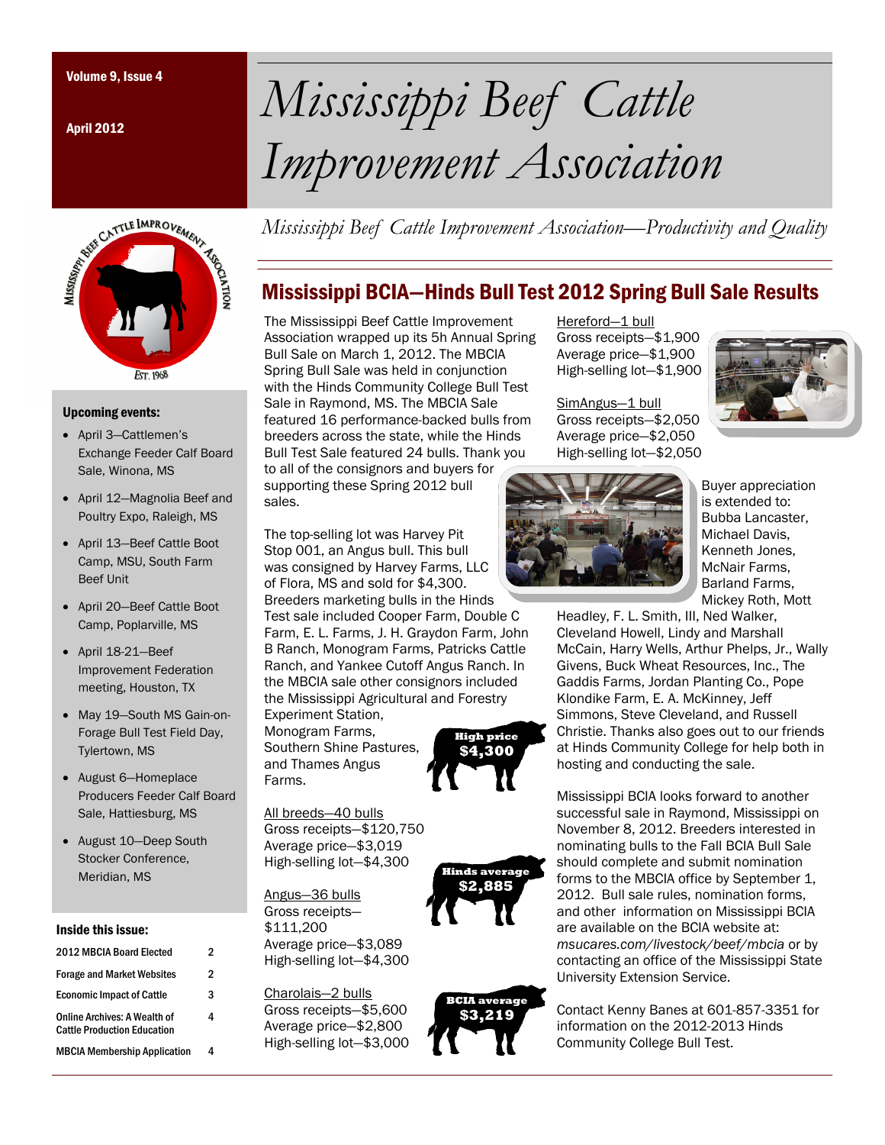April 2012



### Upcoming events:

- April 3—Cattlemen's Exchange Feeder Calf Board Sale, Winona, MS
- April 12—Magnolia Beef and Poultry Expo, Raleigh, MS
- April 13—Beef Cattle Boot Camp, MSU, South Farm Beef Unit
- April 20—Beef Cattle Boot Camp, Poplarville, MS
- April 18-21—Beef Improvement Federation meeting, Houston, TX
- May 19—South MS Gain-on-Forage Bull Test Field Day, Tylertown, MS
- August 6—Homeplace Producers Feeder Calf Board Sale, Hattiesburg, MS
- August 10—Deep South Stocker Conference, Meridian, MS

### Inside this issue:

| 2012 MBCIA Board Elected                                                  | 2 |
|---------------------------------------------------------------------------|---|
| <b>Forage and Market Websites</b>                                         | 2 |
| <b>Economic Impact of Cattle</b>                                          | 3 |
| <b>Online Archives: A Wealth of</b><br><b>Cattle Production Education</b> | 4 |
| <b>MBCIA Membership Application</b>                                       |   |

# Volume 9, Issue 4 *Mississippi Beef Cattle Improvement Association*

*Mississippi Beef Cattle Improvement Association—Productivity and Quality* 

## Mississippi BCIA—Hinds Bull Test 2012 Spring Bull Sale Results

The Mississippi Beef Cattle Improvement Association wrapped up its 5h Annual Spring Bull Sale on March 1, 2012. The MBCIA Spring Bull Sale was held in conjunction with the Hinds Community College Bull Test Sale in Raymond, MS. The MBCIA Sale featured 16 performance-backed bulls from breeders across the state, while the Hinds Bull Test Sale featured 24 bulls. Thank you to all of the consignors and buyers for supporting these Spring 2012 bull sales.

The top-selling lot was Harvey Pit Stop 001, an Angus bull. This bull was consigned by Harvey Farms, LLC of Flora, MS and sold for \$4,300. Breeders marketing bulls in the Hinds Test sale included Cooper Farm, Double C Farm, E. L. Farms, J. H. Graydon Farm, John B Ranch, Monogram Farms, Patricks Cattle Ranch, and Yankee Cutoff Angus Ranch. In the MBCIA sale other consignors included the Mississippi Agricultural and Forestry

Experiment Station, Monogram Farms, Southern Shine Pastures, and Thames Angus Farms.

**High price \$4,300**

All breeds—40 bulls Gross receipts—\$120,750 Average price—\$3,019 High-selling lot—\$4,300

Angus—36 bulls Gross receipts— \$111,200 Average price—\$3,089 High-selling lot—\$4,300

Charolais—2 bulls Gross receipts—\$5,600 Average price—\$2,800 High-selling lot—\$3,000





Hereford-1 bull Gross receipts—\$1,900 Average price—\$1,900 High-selling lot—\$1,900

SimAngus—1 bull Gross receipts—\$2,050 Average price—\$2,050 High-selling lot—\$2,050



Buyer appreciation is extended to: Bubba Lancaster, Michael Davis, Kenneth Jones, McNair Farms, Barland Farms, Mickey Roth, Mott

Headley, F. L. Smith, III, Ned Walker, Cleveland Howell, Lindy and Marshall McCain, Harry Wells, Arthur Phelps, Jr., Wally Givens, Buck Wheat Resources, Inc., The Gaddis Farms, Jordan Planting Co., Pope Klondike Farm, E. A. McKinney, Jeff Simmons, Steve Cleveland, and Russell Christie. Thanks also goes out to our friends at Hinds Community College for help both in hosting and conducting the sale.

Mississippi BCIA looks forward to another successful sale in Raymond, Mississippi on November 8, 2012. Breeders interested in nominating bulls to the Fall BCIA Bull Sale should complete and submit nomination forms to the MBCIA office by September 1, 2012. Bull sale rules, nomination forms, and other information on Mississippi BCIA are available on the BCIA website at: *msucares.com/livestock/beef/mbcia* or by contacting an office of the Mississippi State University Extension Service.

Contact Kenny Banes at 601-857-3351 for information on the 2012-2013 Hinds Community College Bull Test.

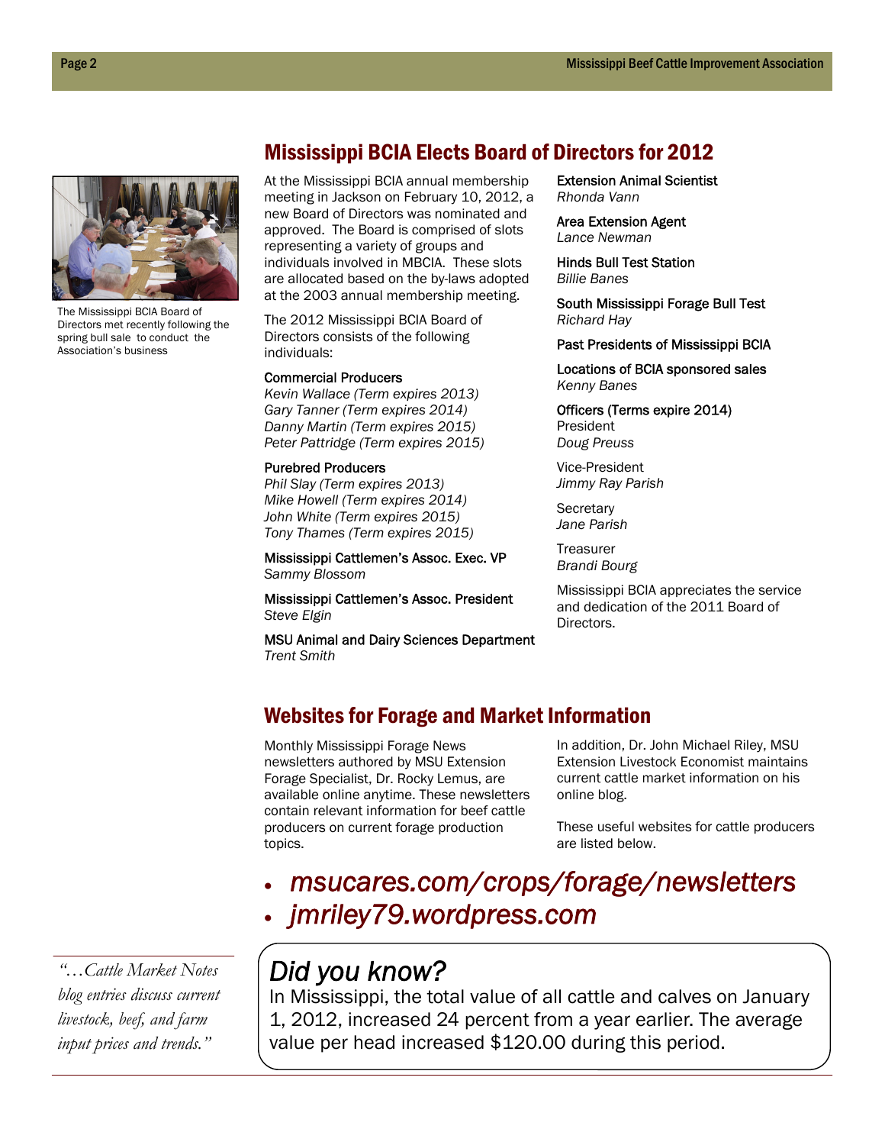

The Mississippi BCIA Board of Directors met recently following the spring bull sale to conduct the Association's business

### Mississippi BCIA Elects Board of Directors for 2012

At the Mississippi BCIA annual membership meeting in Jackson on February 10, 2012, a new Board of Directors was nominated and approved. The Board is comprised of slots representing a variety of groups and individuals involved in MBCIA. These slots are allocated based on the by-laws adopted at the 2003 annual membership meeting.

The 2012 Mississippi BCIA Board of Directors consists of the following individuals:

#### Commercial Producers

*Kevin Wallace (Term expires 2013) Gary Tanner (Term expires 2014) Danny Martin (Term expires 2015) Peter Pattridge (Term expires 2015)* 

### Purebred Producers

*Phil Slay (Term expires 2013) Mike Howell (Term expires 2014) John White (Term expires 2015) Tony Thames (Term expires 2015)* 

Mississippi Cattlemen's Assoc. Exec. VP *Sammy Blossom* 

Mississippi Cattlemen's Assoc. President *Steve Elgin* 

MSU Animal and Dairy Sciences Department *Trent Smith* 

Extension Animal Scientist *Rhonda Vann* 

Area Extension Agent *Lance Newman* 

Hinds Bull Test Station *Billie Banes* 

South Mississippi Forage Bull Test *Richard Hay* 

Past Presidents of Mississippi BCIA

Locations of BCIA sponsored sales *Kenny Banes* 

Officers (Terms expire 2014) President *Doug Preuss* 

Vice-President *Jimmy Ray Parish* 

**Secretary** *Jane Parish* 

**Treasurer** *Brandi Bourg* 

Mississippi BCIA appreciates the service and dedication of the 2011 Board of Directors.

### Websites for Forage and Market Information

Monthly Mississippi Forage News newsletters authored by MSU Extension Forage Specialist, Dr. Rocky Lemus, are available online anytime. These newsletters contain relevant information for beef cattle producers on current forage production topics.

In addition, Dr. John Michael Riley, MSU Extension Livestock Economist maintains current cattle market information on his online blog.

These useful websites for cattle producers are listed below.

 *msucares.com/crops/forage/newsletters jmriley79.wordpress.com* 

*"…Cattle Market Notes blog entries discuss current livestock, beef, and farm input prices and trends."* 

# *Did you know?*

In Mississippi, the total value of all cattle and calves on January 1, 2012, increased 24 percent from a year earlier. The average value per head increased \$120.00 during this period.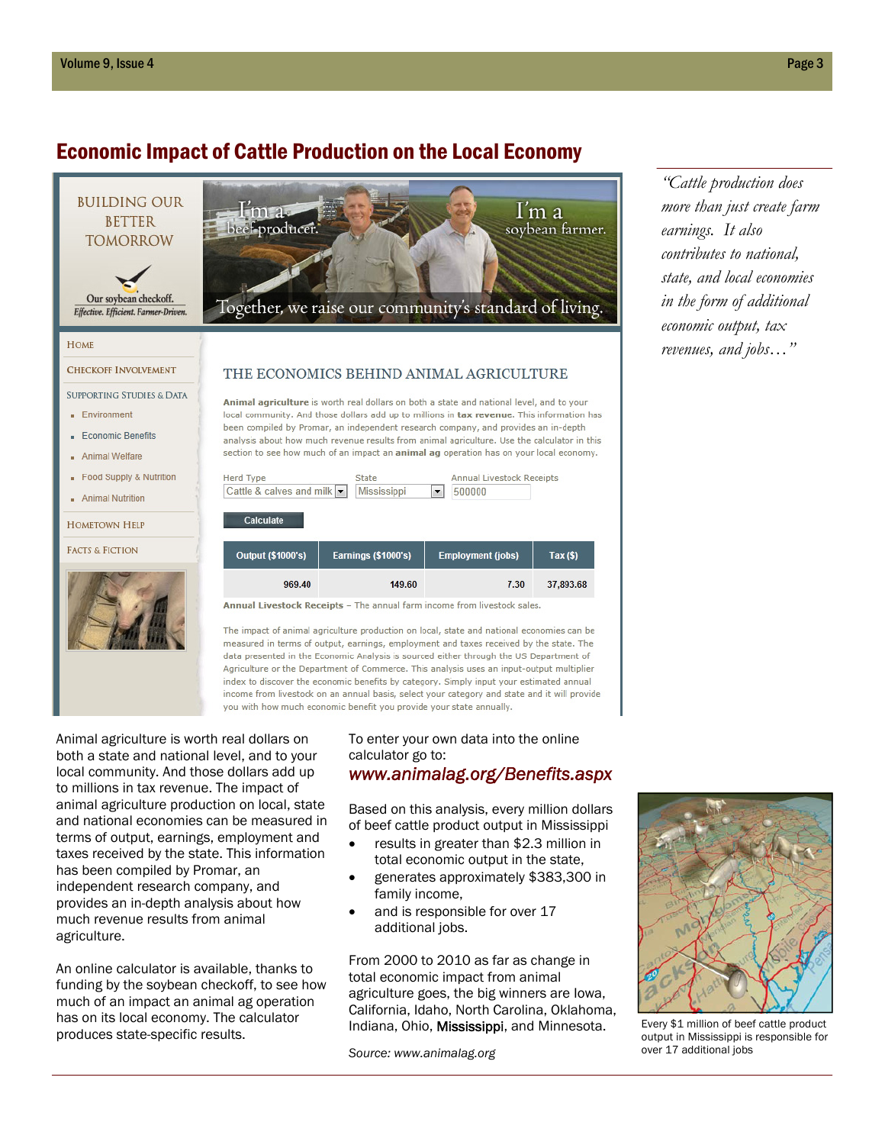# Economic Impact of Cattle Production on the Local Economy



you with how much economic benefit you provide your state annually.

Animal agriculture is worth real dollars on both a state and national level, and to your local community. And those dollars add up to millions in tax revenue. The impact of animal agriculture production on local, state and national economies can be measured in terms of output, earnings, employment and taxes received by the state. This information has been compiled by Promar, an independent research company, and provides an in-depth analysis about how much revenue results from animal agriculture.

An online calculator is available, thanks to funding by the soybean checkoff, to see how much of an impact an animal ag operation has on its local economy. The calculator produces state-specific results.

### To enter your own data into the online calculator go to: *www.animalag.org/Benefits.aspx*

Based on this analysis, every million dollars

- of beef cattle product output in Mississippi results in greater than \$2.3 million in
- total economic output in the state,
- generates approximately \$383,300 in family income,
- and is responsible for over 17 additional jobs.

From 2000 to 2010 as far as change in total economic impact from animal agriculture goes, the big winners are Iowa, California, Idaho, North Carolina, Oklahoma, Indiana, Ohio, Mississippi, and Minnesota.

*Source: www.animalag.org* 

*"Cattle production does more than just create farm earnings. It also contributes to national, state, and local economies in the form of additional economic output, tax revenues, and jobs…"*